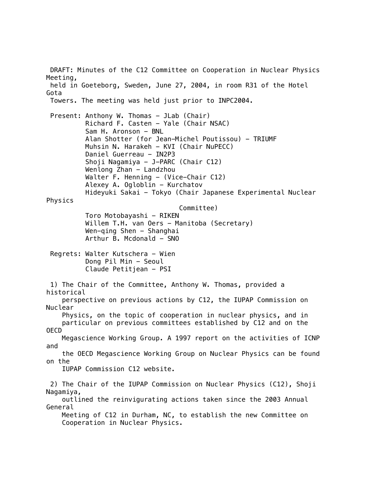DRAFT: Minutes of the C12 Committee on Cooperation in Nuclear Physics Meeting, held in Goeteborg, Sweden, June 27, 2004, in room R31 of the Hotel Gota Towers. The meeting was held just prior to INPC2004. Present: Anthony W. Thomas - JLab (Chair) Richard F. Casten - Yale (Chair NSAC) Sam H. Aronson - BNL Alan Shotter (for Jean-Michel Poutissou) - TRIUMF Muhsin N. Harakeh - KVI (Chair NuPECC) Daniel Guerreau - IN2P3 Shoji Nagamiya - J-PARC (Chair C12) Wenlong Zhan - Landzhou Walter F. Henning - (Vice-Chair C12) Alexey A. Ogloblin - Kurchatov Hideyuki Sakai - Tokyo (Chair Japanese Experimental Nuclear Physics Committee) Toro Motobayashi - RIKEN Willem T.H. van Oers - Manitoba (Secretary)  $Wen-qing$  Shen - Shanghai  $Arthur B. Modonald - SNO$ Regrets: Walter Kutschera - Wien Dong Pil Min - Seoul Claude Petitjean - PSI 1) The Chair of the Committee, Anthony W. Thomas, provided a historical perspective on previous actions by C12, the IUPAP Commission on Nuclear Physics, on the topic of cooperation in nuclear physics, and in particular on previous committees established by C12 and on the OECD Megascience Working Group. A 1997 report on the activities of ICNP and the OECD Megascience Working Group on Nuclear Physics can be found on the IUPAP Commission C12 website. 2) The Chair of the IUPAP Commission on Nuclear Physics (C12), Shoji Nagamiya, outlined the reinvigurating actions taken since the 2003 Annual General Meeting of C12 in Durham, NC, to establish the new Committee on Cooperation in Nuclear Physics.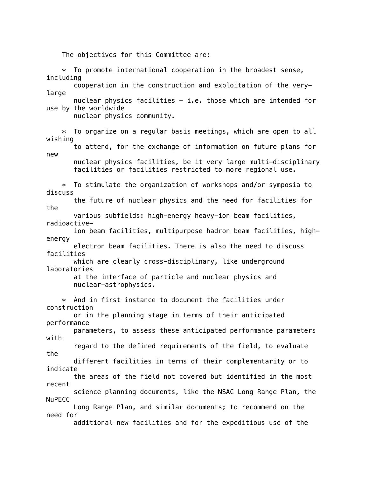The objectives for this Committee are:

 $*$  To promote international cooperation in the broadest sense, including cooperation in the construction and exploitation of the verylarge nuclear physics facilities  $-$  i.e. those which are intended for use by the worldwide nuclear physics community. \* To organize on a regular basis meetings, which are open to all wishing to attend, for the exchange of information on future plans for new nuclear physics facilities, be it very large multi-disciplinary facilities or facilities restricted to more regional use. \* To stimulate the organization of workshops and/or symposia to discuss the future of nuclear physics and the need for facilities for the various subfields: high-energy heavy-ion beam facilities, radioactive ion beam facilities, multipurpose hadron beam facilities, highenergy electron beam facilities. There is also the need to discuss facilities which are clearly cross-disciplinary, like underground laboratories at the interface of particle and nuclear physics and nuclear-astrophysics. \* And in first instance to document the facilities under construction or in the planning stage in terms of their anticipated performance parameters, to assess these anticipated performance parameters with regard to the defined requirements of the field, to evaluate the different facilities in terms of their complementarity or to indicate the areas of the field not covered but identified in the most recent science planning documents, like the NSAC Long Range Plan, the NuPECC Long Range Plan, and similar documents; to recommend on the need for additional new facilities and for the expeditious use of the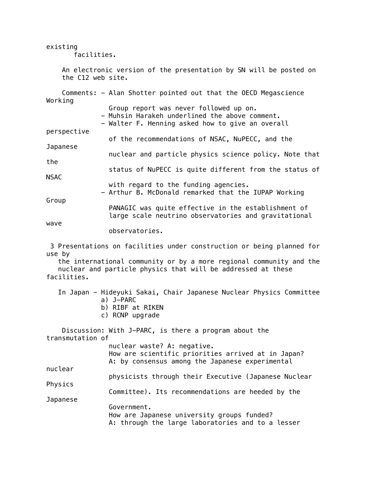facilities. An electronic version of the presentation by SN will be posted on the C12 web site. Comments: - Alan Shotter pointed out that the OECD Megascience Working Group report was never followed up on. - Muhsin Harakeh underlined the above comment. - Walter F. Henning asked how to give an overall perspective of the recommendations of NSAC, NuPECC, and the Japanese nuclear and particle physics science policy. Note that the status of NuPECC is quite different from the status of NSAC with regard to the funding agencies. - Arthur B. McDonald remarked that the IUPAP Working Group PANAGIC was quite effective in the establishment of large scale neutrino observatories and gravitational wave observatories. 3 Presentations on facilities under construction or being planned for use by the international community or by a more regional community and the nuclear and particle physics that will be addressed at these facilities. In Japan - Hideyuki Sakai, Chair Japanese Nuclear Physics Committee a) J-PARC b) RIBF at RIKEN c) RCNP upgrade Discussion: With J-PARC, is there a program about the

existing

transmutation of nuclear waste? A: negative. How are scientific priorities arrived at in Japan? A: by consensus among the Japanese experimental nuclear physicists through their Executive (Japanese Nuclear Physics Committee). Its recommendations are heeded by the Japanese Government. How are Japanese university groups funded? A: through the large laboratories and to a lesser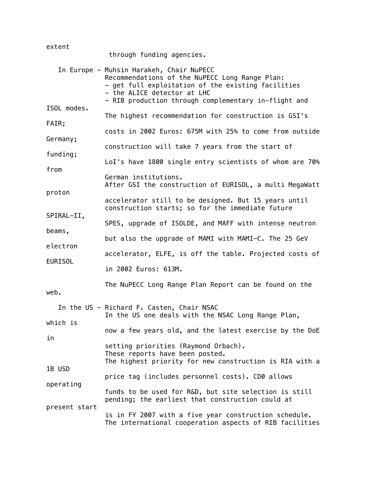| extent                               | through funding agencies.                                                                                                                                                                                                               |
|--------------------------------------|-----------------------------------------------------------------------------------------------------------------------------------------------------------------------------------------------------------------------------------------|
|                                      | In Europe - Muhsin Harakeh, Chair NuPECC<br>Recommendations of the NuPECC Long Range Plan:<br>- get full exploitation of the existing facilities<br>- the ALICE detector at LHC<br>- RIB production through complementary in-flight and |
| ISOL modes.<br>FAIR;                 | The highest recommendation for construction is GSI's                                                                                                                                                                                    |
| Germany;                             | costs in 2002 Euros: 675M with 25% to come from outside                                                                                                                                                                                 |
| funding;                             | construction will take 7 years from the start of<br>LoI's have 1800 single entry scientists of whom are 70%                                                                                                                             |
| from                                 | German institutions.                                                                                                                                                                                                                    |
| proton                               | After GSI the construction of EURISOL, a multi MegaWatt                                                                                                                                                                                 |
| SPIRAL-II,                           | accelerator still to be designed. But 15 years until<br>construction starts; so for the immediate future                                                                                                                                |
| beams,                               | SPES, upgrade of ISOLDE, and MAFF with intense neutron                                                                                                                                                                                  |
| electron<br><b>EURISOL</b>           | but also the upgrade of MAMI with MAMI-C. The 25 GeV<br>accelerator, ELFE, is off the table. Projected costs of                                                                                                                         |
|                                      | in 2002 Euros: 613M.                                                                                                                                                                                                                    |
| web.                                 | The NuPECC Long Range Plan Report can be found on the                                                                                                                                                                                   |
| which is                             | In the US - Richard F. Casten, Chair NSAC<br>In the US one deals with the NSAC Long Range Plan,                                                                                                                                         |
| in                                   | now a few years old, and the latest exercise by the DoE                                                                                                                                                                                 |
| 1B USD<br>operating<br>present start | setting priorities (Raymond Orbach).<br>These reports have been posted.<br>The highest priority for new construction is RIA with a                                                                                                      |
|                                      | price tag (includes personnel costs). CD0 allows                                                                                                                                                                                        |
|                                      | funds to be used for R&D, but site selection is still<br>pending; the earliest that construction could at                                                                                                                               |
|                                      | is in FY 2007 with a five year construction schedule.<br>The international cooperation aspects of RIB facilities                                                                                                                        |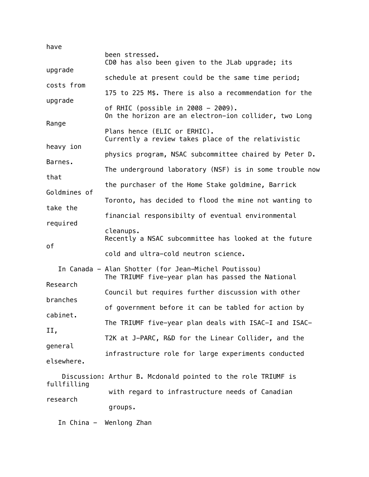| have                                       |                                                                                                           |  |
|--------------------------------------------|-----------------------------------------------------------------------------------------------------------|--|
|                                            | been stressed.<br>CD0 has also been given to the JLab upgrade; its                                        |  |
| upgrade                                    | schedule at present could be the same time period;                                                        |  |
| costs from<br>upgrade                      | 175 to 225 M\$. There is also a recommendation for the                                                    |  |
|                                            | of RHIC (possible in $2008 - 2009$ ).<br>On the horizon are an electron-ion collider, two Long            |  |
| Range                                      | Plans hence (ELIC or ERHIC).<br>Currently a review takes place of the relativistic                        |  |
| heavy ion                                  | physics program, NSAC subcommittee chaired by Peter D.                                                    |  |
| Barnes.                                    | The underground laboratory (NSF) is in some trouble now                                                   |  |
| that                                       | the purchaser of the Home Stake goldmine, Barrick                                                         |  |
| Goldmines of<br>take the<br>required<br>оf | Toronto, has decided to flood the mine not wanting to                                                     |  |
|                                            | financial responsibilty of eventual environmental                                                         |  |
|                                            | cleanups.<br>Recently a NSAC subcommittee has looked at the future                                        |  |
|                                            | cold and ultra-cold neutron science.                                                                      |  |
| Research<br>branches<br>cabinet.<br>II,    | In Canada - Alan Shotter (for Jean-Michel Poutissou)<br>The TRIUMF five-year plan has passed the National |  |
|                                            | Council but requires further discussion with other                                                        |  |
|                                            | of government before it can be tabled for action by                                                       |  |
|                                            | The TRIUMF five-year plan deals with ISAC-I and ISAC-                                                     |  |
|                                            | T2K at J-PARC, R&D for the Linear Collider, and the                                                       |  |
| general                                    | infrastructure role for large experiments conducted                                                       |  |
| elsewhere.                                 |                                                                                                           |  |
| fullfilling                                | Discussion: Arthur B. Mcdonald pointed to the role TRIUMF is                                              |  |
| research                                   | with regard to infrastructure needs of Canadian                                                           |  |
|                                            | groups.                                                                                                   |  |

In China - Wenlong Zhan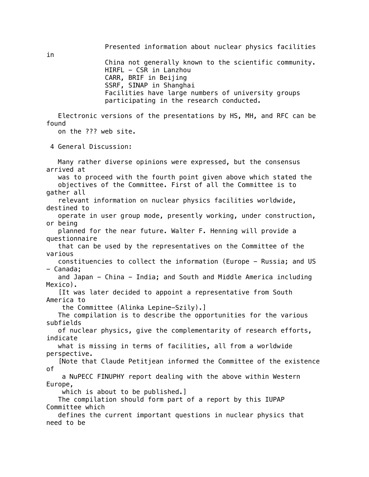China not generally known to the scientific community. HIRFL - CSR in Lanzhou CARR, BRIF in Beijing SSRF, SINAP in Shanghai Facilities have large numbers of university groups participating in the research conducted.

Presented information about nuclear physics facilities

 Electronic versions of the presentations by HS, MH, and RFC can be found

on the ??? web site.

4 General Discussion:

 Many rather diverse opinions were expressed, but the consensus arrived at was to proceed with the fourth point given above which stated the objectives of the Committee. First of all the Committee is to gather all relevant information on nuclear physics facilities worldwide, destined to operate in user group mode, presently working, under construction, or being planned for the near future. Walter F. Henning will provide a questionnaire that can be used by the representatives on the Committee of the various constituencies to collect the information (Europe - Russia; and US - Canada; and Japan - China - India; and South and Middle America including Mexico). [It was later decided to appoint a representative from South America to the Committee (Alinka Lepine-Szily).] The compilation is to describe the opportunities for the various subfields of nuclear physics, give the complementarity of research efforts, indicate what is missing in terms of facilities, all from a worldwide perspective. [Note that Claude Petitjean informed the Committee of the existence of a NuPECC FINUPHY report dealing with the above within Western Europe, which is about to be published.] The compilation should form part of a report by this IUPAP Committee which defines the current important questions in nuclear physics that need to be

in